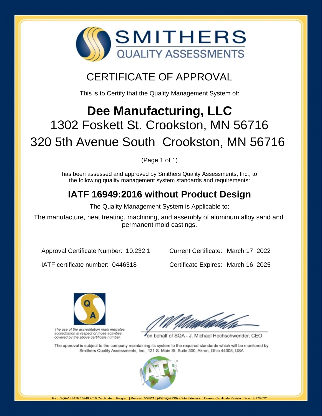

## CERTIFICATE OF APPROVAL

This is to Certify that the Quality Management System of:

# **Dee Manufacturing, LLC** 1302 Foskett St. Crookston, MN 56716 320 5th Avenue South Crookston, MN 56716

(Page 1 of 1)

has been assessed and approved by Smithers Quality Assessments, Inc., to the following quality management system standards and requirements:

## **IATF 16949:2016 without Product Design**

The Quality Management System is Applicable to:

The manufacture, heat treating, machining, and assembly of aluminum alloy sand and permanent mold castings.

Approval Certificate Number: 10.232.1

Current Certificate: March 17, 2022

IATF certificate number: 0446318

Certificate Expires: March 16, 2025



The use of the accreditation mark indicates accreditation in respect of those activities covered by the above certificate number.

on behalf of SQA - J. Michael Hochschwender, CEO

The approval is subject to the company maintaining its system to the required standards which will be monitored by Smithers Quality Assessments, Inc., 121 S. Main St. Suite 300, Akron, Ohio 44308, USA

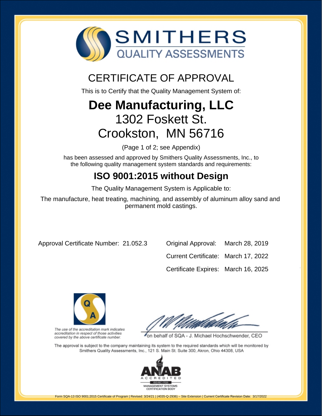

## CERTIFICATE OF APPROVAL

This is to Certify that the Quality Management System of:

# **Dee Manufacturing, LLC** 1302 Foskett St. Crookston, MN 56716

(Page 1 of 2; see Appendix)

has been assessed and approved by Smithers Quality Assessments, Inc., to the following quality management system standards and requirements:

## **ISO 9001:2015 without Design**

The Quality Management System is Applicable to:

The manufacture, heat treating, machining, and assembly of aluminum alloy sand and permanent mold castings.

Approval Certificate Number: 21.052.3 Original Approval: March 28, 2019

Current Certificate: March 17, 2022 Certificate Expires: March 16, 2025



The use of the accreditation mark indicates accreditation in respect of those activities covered by the above certificate number.

on behalf of SQA - J. Michael Hochschwender, CEO

The approval is subject to the company maintaining its system to the required standards which will be monitored by Smithers Quality Assessments, Inc., 121 S. Main St. Suite 300, Akron, Ohio 44308, USA